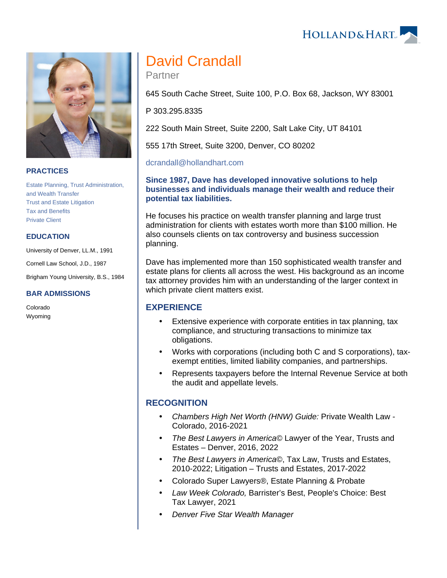#### **PRACTICES**

[Estate Planning, Trust Administration,](https://www.hollandhart.com/19734)  [and Wealth Transfer](https://www.hollandhart.com/19734) [Trust and Estate Litigation](https://www.hollandhart.com/19712) [Tax and Benefits](https://www.hollandhart.com/19755) [Private Client](https://www.hollandhart.com/30121)

#### **EDUCATION**

University of Denver, LL.M., 1991

Cornell Law School, J.D., 1987

Brigham Young University, B.S., 1984

#### **BAR ADMISSIONS**

Colorado Wyoming

# David Crandall

Partner

645 South Cache Street, Suite 100, P.O. Box 68, Jackson, WY 83001

P 303.295.8335

222 South Main Street, Suite 2200, Salt Lake City, UT 84101

555 17th Street, Suite 3200, Denver, CO 80202

#### [dcrandall@hollandhart.com](mailto:dcrandall@hollandhart.com)

#### **Since 1987, Dave has developed innovative solutions to help businesses and individuals manage their wealth and reduce their potential tax liabilities.**

He focuses his practice on wealth transfer planning and large trust administration for clients with estates worth more than \$100 million. He also counsels clients on tax controversy and business succession planning.

Dave has implemented more than 150 sophisticated wealth transfer and estate plans for clients all across the west. His background as an income tax attorney provides him with an understanding of the larger context in which private client matters exist.

### **EXPERIENCE**

- Extensive experience with corporate entities in tax planning, tax compliance, and structuring transactions to minimize tax obligations.
- Works with corporations (including both C and S corporations), taxexempt entities, limited liability companies, and partnerships.
- Represents taxpayers before the Internal Revenue Service at both the audit and appellate levels.

#### **RECOGNITION**

- Chambers High Net Worth (HNW) Guide: Private Wealth Law Colorado, 2016-2021
- The Best Lawyers in America© Lawyer of the Year, Trusts and Estates – Denver, 2016, 2022
- The Best Lawyers in America©, Tax Law, Trusts and Estates, 2010-2022; Litigation – Trusts and Estates, 2017-2022
- Colorado Super Lawyers®, Estate Planning & Probate
- Law Week Colorado, Barrister's Best, People's Choice: Best Tax Lawyer, 2021
- Denver Five Star Wealth Manager